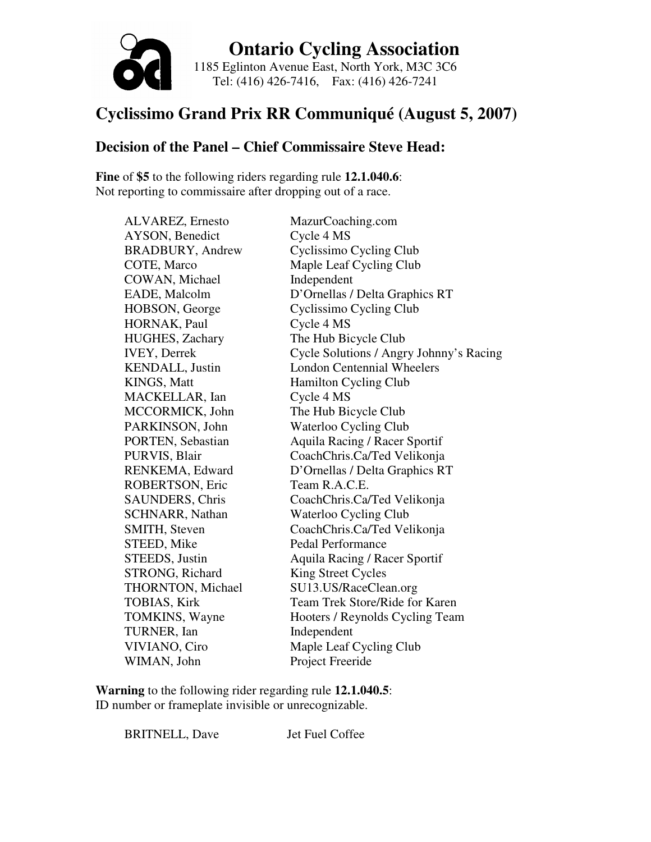

 **Ontario Cycling Association**  1185 Eglinton Avenue East, North York, M3C 3C6 Tel: (416) 426-7416, Fax: (416) 426-7241

#### **Cyclissimo Grand Prix RR Communiqué (August 5, 2007)**

#### **Decision of the Panel – Chief Commissaire Steve Head:**

**Fine** of **\$5** to the following riders regarding rule **12.1.040.6**: Not reporting to commissaire after dropping out of a race.

AYSON, Benedict Cycle 4 MS COWAN, Michael Independent HORNAK, Paul Cycle 4 MS MACKELLAR, Ian Cycle 4 MS ROBERTSON, Eric Team R.A.C.E. STEED, Mike Pedal Performance STRONG, Richard King Street Cycles TURNER, Ian Independent WIMAN, John Project Freeride

ALVAREZ, Ernesto MazurCoaching.com BRADBURY, Andrew Cyclissimo Cycling Club COTE, Marco Maple Leaf Cycling Club EADE, Malcolm D'Ornellas / Delta Graphics RT HOBSON, George Cyclissimo Cycling Club HUGHES, Zachary The Hub Bicycle Club IVEY, Derrek Cycle Solutions / Angry Johnny's Racing KENDALL, Justin London Centennial Wheelers KINGS, Matt Hamilton Cycling Club MCCORMICK, John The Hub Bicycle Club PARKINSON, John Waterloo Cycling Club PORTEN, Sebastian Aquila Racing / Racer Sportif PURVIS, Blair CoachChris.Ca/Ted Velikonja RENKEMA, Edward D'Ornellas / Delta Graphics RT SAUNDERS, Chris CoachChris.Ca/Ted Velikonja SCHNARR, Nathan Waterloo Cycling Club SMITH, Steven CoachChris.Ca/Ted Velikonja STEEDS, Justin Aquila Racing / Racer Sportif THORNTON, Michael SU13.US/RaceClean.org TOBIAS, Kirk Team Trek Store/Ride for Karen TOMKINS, Wayne Hooters / Reynolds Cycling Team VIVIANO, Ciro Maple Leaf Cycling Club

**Warning** to the following rider regarding rule **12.1.040.5**: ID number or frameplate invisible or unrecognizable.

BRITNELL, Dave Jet Fuel Coffee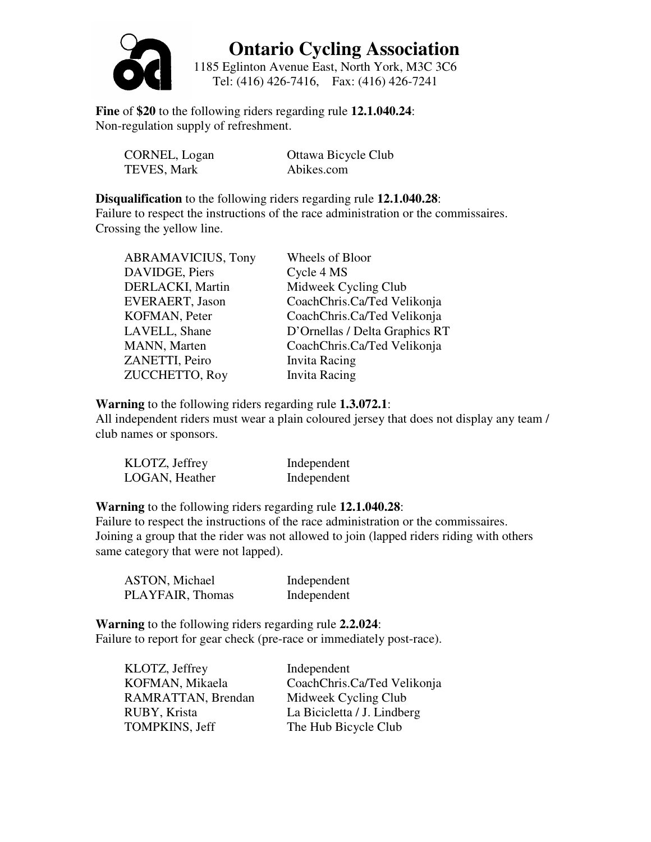

1185 Eglinton Avenue East, North York, M3C 3C6 Tel: (416) 426-7416, Fax: (416) 426-7241

**Fine** of **\$20** to the following riders regarding rule **12.1.040.24**: Non-regulation supply of refreshment.

| CORNEL, Logan | Ottawa Bicycle Club |
|---------------|---------------------|
| TEVES, Mark   | Abikes.com          |

**Disqualification** to the following riders regarding rule **12.1.040.28**: Failure to respect the instructions of the race administration or the commissaires. Crossing the yellow line.

| <b>ABRAMAVICIUS, Tony</b> | Wheels of Bloor                |
|---------------------------|--------------------------------|
| DAVIDGE, Piers            | Cycle 4 MS                     |
| DERLACKI, Martin          | Midweek Cycling Club           |
| <b>EVERAERT, Jason</b>    | CoachChris.Ca/Ted Velikonja    |
| KOFMAN, Peter             | CoachChris.Ca/Ted Velikonja    |
| LAVELL, Shane             | D'Ornellas / Delta Graphics RT |
| MANN, Marten              | CoachChris.Ca/Ted Velikonja    |
| ZANETTI, Peiro            | <b>Invita Racing</b>           |
| ZUCCHETTO, Roy            | <b>Invita Racing</b>           |

**Warning** to the following riders regarding rule **1.3.072.1**:

All independent riders must wear a plain coloured jersey that does not display any team / club names or sponsors.

| KLOTZ, Jeffrey | Independent |
|----------------|-------------|
| LOGAN, Heather | Independent |

**Warning** to the following riders regarding rule **12.1.040.28**:

Failure to respect the instructions of the race administration or the commissaires. Joining a group that the rider was not allowed to join (lapped riders riding with others same category that were not lapped).

| ASTON, Michael   | Independent |
|------------------|-------------|
| PLAYFAIR, Thomas | Independent |

**Warning** to the following riders regarding rule **2.2.024**: Failure to report for gear check (pre-race or immediately post-race).

| KLOTZ, Jeffrey     | Independent                 |
|--------------------|-----------------------------|
| KOFMAN, Mikaela    | CoachChris.Ca/Ted Velikonja |
| RAMRATTAN, Brendan | Midweek Cycling Club        |
| RUBY, Krista       | La Bicicletta / J. Lindberg |
| TOMPKINS, Jeff     | The Hub Bicycle Club        |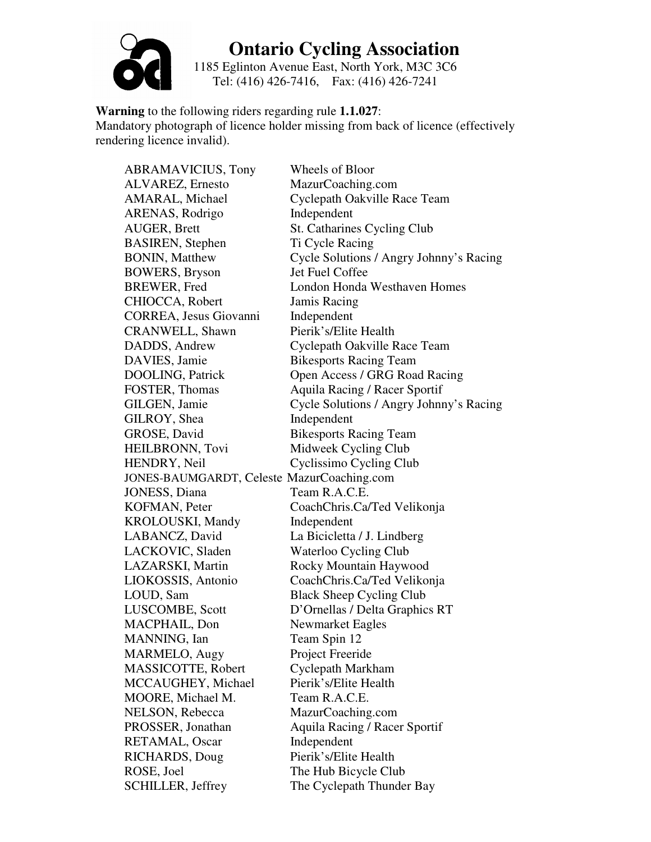

1185 Eglinton Avenue East, North York, M3C 3C6 Tel: (416) 426-7416, Fax: (416) 426-7241

**Warning** to the following riders regarding rule **1.1.027**: Mandatory photograph of licence holder missing from back of licence (effectively rendering licence invalid).

ABRAMAVICIUS, Tony Wheels of Bloor ALVAREZ, Ernesto MazurCoaching.com AMARAL, Michael Cyclepath Oakville Race Team ARENAS, Rodrigo Independent AUGER, Brett St. Catharines Cycling Club BASIREN, Stephen Ti Cycle Racing BONIN, Matthew Cycle Solutions / Angry Johnny's Racing BOWERS, Bryson Jet Fuel Coffee BREWER, Fred London Honda Westhaven Homes CHIOCCA, Robert Jamis Racing CORREA, Jesus Giovanni Independent CRANWELL, Shawn Pierik's/Elite Health DADDS, Andrew Cyclepath Oakville Race Team DAVIES, Jamie Bikesports Racing Team DOOLING, Patrick Open Access / GRG Road Racing FOSTER, Thomas Aquila Racing / Racer Sportif GILGEN, Jamie Cycle Solutions / Angry Johnny's Racing GILROY, Shea Independent GROSE, David Bikesports Racing Team HEILBRONN, Tovi Midweek Cycling Club HENDRY, Neil Cyclissimo Cycling Club JONES-BAUMGARDT, Celeste MazurCoaching.com JONESS, Diana Team R.A.C.E. KOFMAN, Peter CoachChris.Ca/Ted Velikonja KROLOUSKI, Mandy Independent LABANCZ, David La Bicicletta / J. Lindberg LACKOVIC, Sladen Waterloo Cycling Club LAZARSKI, Martin Rocky Mountain Haywood LIOKOSSIS, Antonio CoachChris.Ca/Ted Velikonja LOUD, Sam Black Sheep Cycling Club LUSCOMBE, Scott D'Ornellas / Delta Graphics RT MACPHAIL, Don Newmarket Eagles MANNING, Ian Team Spin 12 MARMELO, Augy Project Freeride MASSICOTTE, Robert Cyclepath Markham MCCAUGHEY, Michael Pierik's/Elite Health MOORE, Michael M. Team R.A.C.E. NELSON, Rebecca MazurCoaching.com PROSSER, Jonathan Aquila Racing / Racer Sportif RETAMAL, Oscar Independent RICHARDS, Doug Pierik's/Elite Health ROSE, Joel The Hub Bicycle Club SCHILLER, Jeffrey The Cyclepath Thunder Bay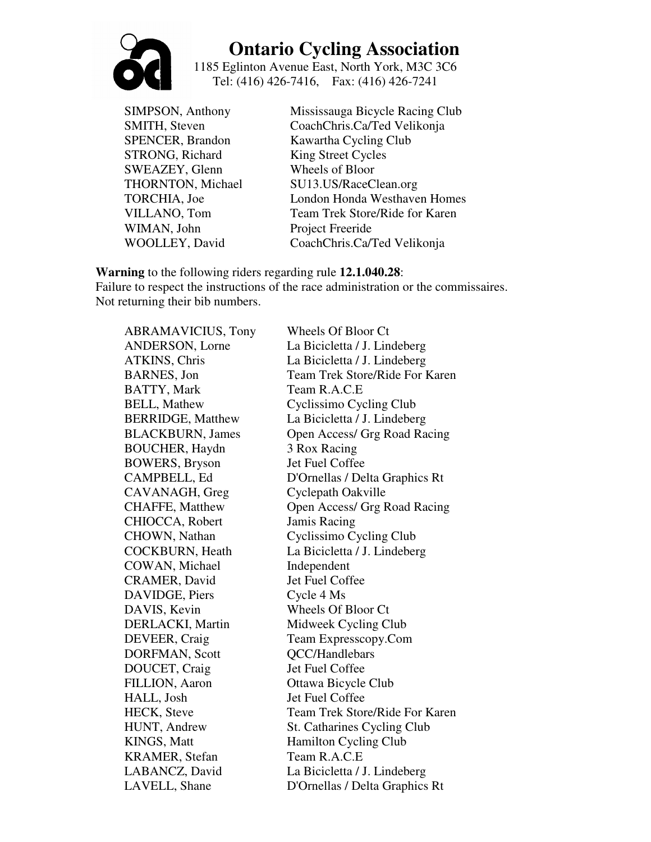

1185 Eglinton Avenue East, North York, M3C 3C6 Tel: (416) 426-7416, Fax: (416) 426-7241

STRONG, Richard King Street Cycles SWEAZEY, Glenn Wheels of Bloor WIMAN, John Project Freeride

SIMPSON, Anthony Mississauga Bicycle Racing Club SMITH, Steven CoachChris.Ca/Ted Velikonja SPENCER, Brandon Kawartha Cycling Club THORNTON, Michael SU13.US/RaceClean.org TORCHIA, Joe London Honda Westhaven Homes VILLANO, Tom Team Trek Store/Ride for Karen WOOLLEY, David CoachChris.Ca/Ted Velikonja

**Warning** to the following riders regarding rule **12.1.040.28**:

Failure to respect the instructions of the race administration or the commissaires. Not returning their bib numbers.

ABRAMAVICIUS, Tony Wheels Of Bloor Ct BATTY, Mark Team R.A.C.E BOUCHER, Haydn 3 Rox Racing BOWERS, Bryson Jet Fuel Coffee CAVANAGH, Greg Cyclepath Oakville CHIOCCA, Robert Jamis Racing COWAN, Michael Independent CRAMER, David Jet Fuel Coffee DAVIDGE, Piers Cycle 4 Ms DAVIS, Kevin Wheels Of Bloor Ct DORFMAN, Scott QCC/Handlebars DOUCET, Craig Jet Fuel Coffee FILLION, Aaron Ottawa Bicycle Club HALL, Josh Jet Fuel Coffee KRAMER, Stefan Team R.A.C.E

ANDERSON, Lorne La Bicicletta / J. Lindeberg ATKINS, Chris La Bicicletta / J. Lindeberg BARNES, Jon Team Trek Store/Ride For Karen BELL, Mathew Cyclissimo Cycling Club BERRIDGE, Matthew La Bicicletta / J. Lindeberg BLACKBURN, James Open Access/ Grg Road Racing CAMPBELL, Ed D'Ornellas / Delta Graphics Rt CHAFFE, Matthew Open Access/ Grg Road Racing CHOWN, Nathan Cyclissimo Cycling Club COCKBURN, Heath La Bicicletta / J. Lindeberg DERLACKI, Martin Midweek Cycling Club DEVEER, Craig Team Expresscopy.Com HECK, Steve Team Trek Store/Ride For Karen HUNT, Andrew St. Catharines Cycling Club KINGS, Matt Hamilton Cycling Club LABANCZ, David La Bicicletta / J. Lindeberg LAVELL, Shane D'Ornellas / Delta Graphics Rt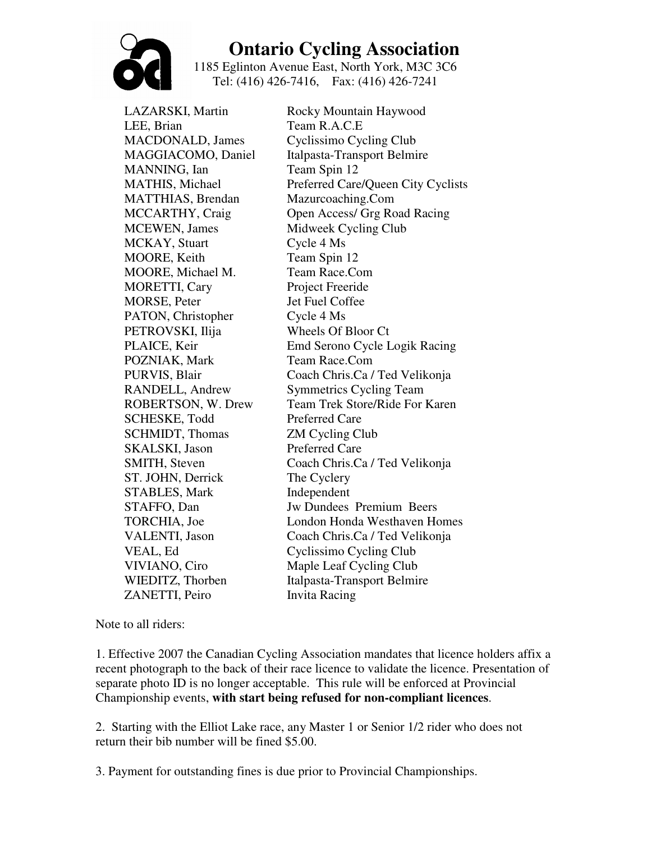

1185 Eglinton Avenue East, North York, M3C 3C6 Tel: (416) 426-7416, Fax: (416) 426-7241

LAZARSKI, Martin Rocky Mountain Haywood LEE, Brian Team R.A.C.E MANNING, Ian Team Spin 12 MATTHIAS, Brendan Mazurcoaching.Com MCEWEN, James Midweek Cycling Club MCKAY, Stuart Cycle 4 Ms MOORE, Keith Team Spin 12 MOORE, Michael M. Team Race.Com MORETTI, Cary Project Freeride MORSE, Peter Jet Fuel Coffee PATON, Christopher Cycle 4 Ms PETROVSKI, Ilija Wheels Of Bloor Ct POZNIAK, Mark Team Race.Com SCHESKE, Todd Preferred Care SCHMIDT, Thomas **ZM** Cycling Club SKALSKI, Jason Preferred Care ST. JOHN, Derrick The Cyclery STABLES, Mark Independent ZANETTI, Peiro Invita Racing

MACDONALD, James Cyclissimo Cycling Club MAGGIACOMO, Daniel Italpasta-Transport Belmire MATHIS, Michael Preferred Care/Queen City Cyclists MCCARTHY, Craig Open Access/ Grg Road Racing PLAICE, Keir Emd Serono Cycle Logik Racing PURVIS, Blair Coach Chris.Ca / Ted Velikonja RANDELL, Andrew Symmetrics Cycling Team ROBERTSON, W. Drew Team Trek Store/Ride For Karen SMITH, Steven Coach Chris.Ca / Ted Velikonja STAFFO, Dan Jw Dundees Premium Beers TORCHIA, Joe London Honda Westhaven Homes VALENTI, Jason Coach Chris.Ca / Ted Velikonja VEAL, Ed Cyclissimo Cycling Club VIVIANO, Ciro Maple Leaf Cycling Club WIEDITZ, Thorben Italpasta-Transport Belmire

Note to all riders:

1. Effective 2007 the Canadian Cycling Association mandates that licence holders affix a recent photograph to the back of their race licence to validate the licence. Presentation of separate photo ID is no longer acceptable. This rule will be enforced at Provincial Championship events, **with start being refused for non-compliant licences**.

2. Starting with the Elliot Lake race, any Master 1 or Senior 1/2 rider who does not return their bib number will be fined \$5.00.

3. Payment for outstanding fines is due prior to Provincial Championships.